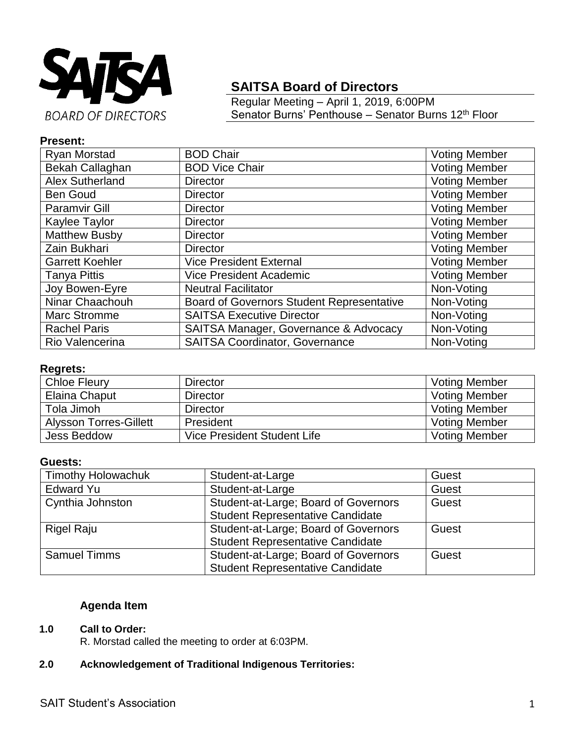

# **SAITSA Board of Directors**

Regular Meeting – April 1, 2019, 6:00PM Senator Burns' Penthouse - Senator Burns 12<sup>th</sup> Floor

## **Present:**

| Ryan Morstad           | <b>BOD Chair</b>                                 | <b>Voting Member</b> |
|------------------------|--------------------------------------------------|----------------------|
| Bekah Callaghan        | <b>BOD Vice Chair</b>                            | <b>Voting Member</b> |
| <b>Alex Sutherland</b> | <b>Director</b>                                  | <b>Voting Member</b> |
| <b>Ben Goud</b>        | <b>Director</b>                                  | <b>Voting Member</b> |
| <b>Paramvir Gill</b>   | <b>Director</b>                                  | <b>Voting Member</b> |
| Kaylee Taylor          | <b>Director</b>                                  | <b>Voting Member</b> |
| <b>Matthew Busby</b>   | <b>Director</b>                                  | <b>Voting Member</b> |
| Zain Bukhari           | <b>Director</b>                                  | <b>Voting Member</b> |
| <b>Garrett Koehler</b> | <b>Vice President External</b>                   | <b>Voting Member</b> |
| <b>Tanya Pittis</b>    | <b>Vice President Academic</b>                   | <b>Voting Member</b> |
| Joy Bowen-Eyre         | <b>Neutral Facilitator</b>                       | Non-Voting           |
| Ninar Chaachouh        | <b>Board of Governors Student Representative</b> | Non-Voting           |
| <b>Marc Stromme</b>    | <b>SAITSA Executive Director</b>                 | Non-Voting           |
| <b>Rachel Paris</b>    | SAITSA Manager, Governance & Advocacy            | Non-Voting           |
| Rio Valencerina        | <b>SAITSA Coordinator, Governance</b>            | Non-Voting           |

#### **Regrets:**

| <b>Chloe Fleury</b>           | <b>Director</b>             | <b>Voting Member</b> |
|-------------------------------|-----------------------------|----------------------|
| Elaina Chaput                 | <b>Director</b>             | <b>Voting Member</b> |
| Tola Jimoh                    | <b>Director</b>             | <b>Voting Member</b> |
| <b>Alysson Torres-Gillett</b> | President                   | <b>Voting Member</b> |
| <b>Jess Beddow</b>            | Vice President Student Life | <b>Voting Member</b> |

### **Guests:**

| <b>Timothy Holowachuk</b> | Student-at-Large                        | Guest |
|---------------------------|-----------------------------------------|-------|
| <b>Edward Yu</b>          | Student-at-Large                        | Guest |
| Cynthia Johnston          | Student-at-Large; Board of Governors    | Guest |
|                           | <b>Student Representative Candidate</b> |       |
| Rigel Raju                | Student-at-Large; Board of Governors    | Guest |
|                           | <b>Student Representative Candidate</b> |       |
| <b>Samuel Timms</b>       | Student-at-Large; Board of Governors    | Guest |
|                           | <b>Student Representative Candidate</b> |       |

## **Agenda Item**

#### **1.0 Call to Order:**

R. Morstad called the meeting to order at 6:03PM.

## **2.0 Acknowledgement of Traditional Indigenous Territories:**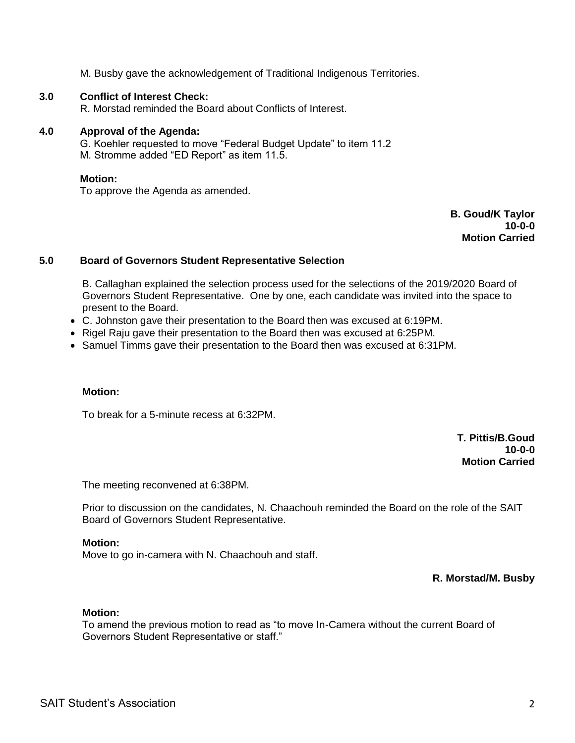M. Busby gave the acknowledgement of Traditional Indigenous Territories.

#### **3.0 Conflict of Interest Check:**

R. Morstad reminded the Board about Conflicts of Interest.

#### **4.0 Approval of the Agenda:**

G. Koehler requested to move "Federal Budget Update" to item 11.2 M. Stromme added "ED Report" as item 11.5.

#### **Motion:**

To approve the Agenda as amended.

**B. Goud/K Taylor 10-0-0 Motion Carried**

#### **5.0 Board of Governors Student Representative Selection**

B. Callaghan explained the selection process used for the selections of the 2019/2020 Board of Governors Student Representative. One by one, each candidate was invited into the space to present to the Board.

- C. Johnston gave their presentation to the Board then was excused at 6:19PM.
- Rigel Raju gave their presentation to the Board then was excused at 6:25PM.
- Samuel Timms gave their presentation to the Board then was excused at 6:31PM.

#### **Motion:**

To break for a 5-minute recess at 6:32PM.

**T. Pittis/B.Goud 10-0-0 Motion Carried**

The meeting reconvened at 6:38PM.

Prior to discussion on the candidates, N. Chaachouh reminded the Board on the role of the SAIT Board of Governors Student Representative.

#### **Motion:**

Move to go in-camera with N. Chaachouh and staff.

**R. Morstad/M. Busby**

#### **Motion:**

To amend the previous motion to read as "to move In-Camera without the current Board of Governors Student Representative or staff."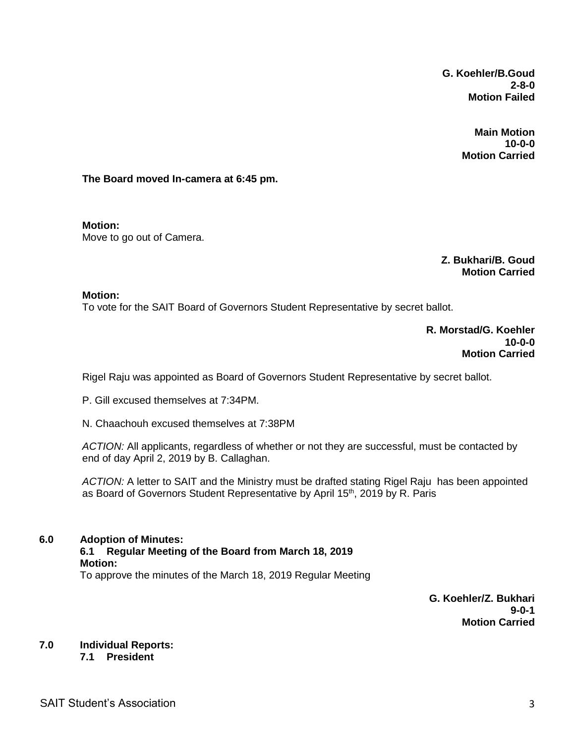**G. Koehler/B.Goud 2-8-0 Motion Failed**

> **Main Motion 10-0-0 Motion Carried**

**The Board moved In-camera at 6:45 pm.**

**Motion:**  Move to go out of Camera.

> **Z. Bukhari/B. Goud Motion Carried**

#### **Motion:**

To vote for the SAIT Board of Governors Student Representative by secret ballot.

**R. Morstad/G. Koehler 10-0-0 Motion Carried**

Rigel Raju was appointed as Board of Governors Student Representative by secret ballot.

P. Gill excused themselves at 7:34PM.

N. Chaachouh excused themselves at 7:38PM

*ACTION:* All applicants, regardless of whether or not they are successful, must be contacted by end of day April 2, 2019 by B. Callaghan.

*ACTION:* A letter to SAIT and the Ministry must be drafted stating Rigel Raju has been appointed as Board of Governors Student Representative by April 15<sup>th</sup>, 2019 by R. Paris

#### **6.0 Adoption of Minutes:**

#### **6.1 Regular Meeting of the Board from March 18, 2019 Motion:** To approve the minutes of the March 18, 2019 Regular Meeting

**G. Koehler/Z. Bukhari 9-0-1 Motion Carried**

## **7.0 Individual Reports:**

**7.1 President**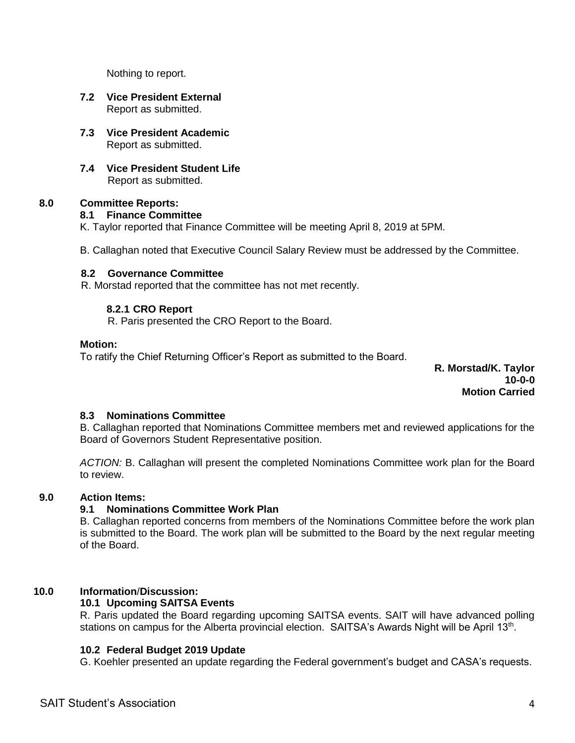Nothing to report.

- **7.2 Vice President External** Report as submitted.
- **7.3 Vice President Academic** Report as submitted.
- **7.4 Vice President Student Life** Report as submitted.

#### **8.0 Committee Reports:**

### **8.1 Finance Committee**

K. Taylor reported that Finance Committee will be meeting April 8, 2019 at 5PM.

B. Callaghan noted that Executive Council Salary Review must be addressed by the Committee.

#### **8.2 Governance Committee**

R. Morstad reported that the committee has not met recently.

### **8.2.1 CRO Report**

R. Paris presented the CRO Report to the Board.

#### **Motion:**

To ratify the Chief Returning Officer's Report as submitted to the Board.

**R. Morstad/K. Taylor 10-0-0 Motion Carried**

### **8.3 Nominations Committee**

B. Callaghan reported that Nominations Committee members met and reviewed applications for the Board of Governors Student Representative position.

*ACTION:* B. Callaghan will present the completed Nominations Committee work plan for the Board to review.

### **9.0 Action Items:**

### **9.1 Nominations Committee Work Plan**

B. Callaghan reported concerns from members of the Nominations Committee before the work plan is submitted to the Board. The work plan will be submitted to the Board by the next regular meeting of the Board.

### **10.0 Information**/**Discussion:**

### **10.1 Upcoming SAITSA Events**

R. Paris updated the Board regarding upcoming SAITSA events. SAIT will have advanced polling stations on campus for the Alberta provincial election. SAITSA's Awards Night will be April 13<sup>th</sup>.

### **10.2 Federal Budget 2019 Update**

G. Koehler presented an update regarding the Federal government's budget and CASA's requests.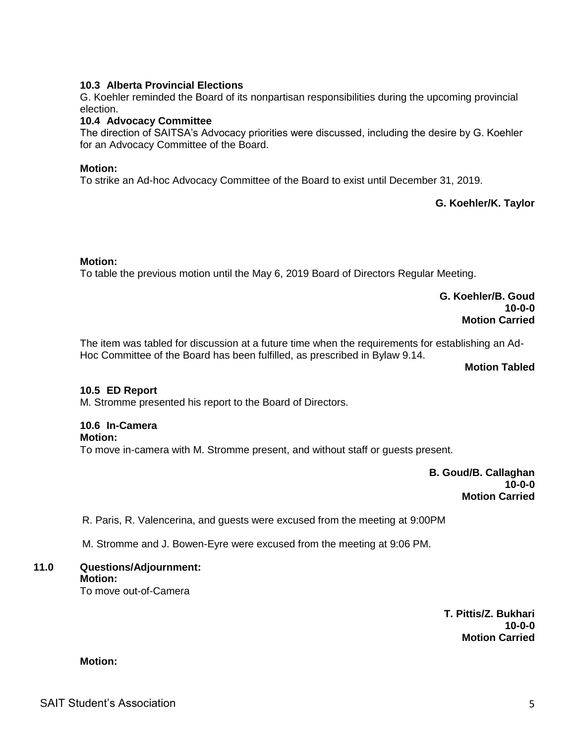### **10.3 Alberta Provincial Elections**

G. Koehler reminded the Board of its nonpartisan responsibilities during the upcoming provincial election.

#### **10.4 Advocacy Committee**

The direction of SAITSA's Advocacy priorities were discussed, including the desire by G. Koehler for an Advocacy Committee of the Board.

### **Motion:**

To strike an Ad-hoc Advocacy Committee of the Board to exist until December 31, 2019.

**G. Koehler/K. Taylor**

#### **Motion:**

To table the previous motion until the May 6, 2019 Board of Directors Regular Meeting.

**G. Koehler/B. Goud 10-0-0 Motion Carried**

The item was tabled for discussion at a future time when the requirements for establishing an Ad-Hoc Committee of the Board has been fulfilled, as prescribed in Bylaw 9.14.

**Motion Tabled**

#### **10.5 ED Report**

M. Stromme presented his report to the Board of Directors.

### **10.6 In-Camera**

#### **Motion:**

To move in-camera with M. Stromme present, and without staff or guests present.

**B. Goud/B. Callaghan 10-0-0 Motion Carried**

R. Paris, R. Valencerina, and guests were excused from the meeting at 9:00PM

M. Stromme and J. Bowen-Eyre were excused from the meeting at 9:06 PM.

#### **11.0 Questions/Adjournment: Motion:**

To move out-of-Camera

**T. Pittis/Z. Bukhari 10-0-0 Motion Carried**

**Motion:**